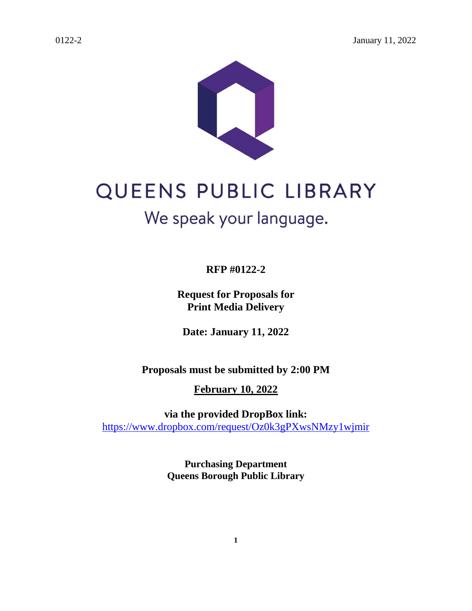



# QUEENS PUBLIC LIBRARY We speak your language.

**RFP #0122-2**

**Request for Proposals for Print Media Delivery**

**Date: January 11, 2022**

**Proposals must be submitted by 2:00 PM**

**February 10, 2022**

**via the provided DropBox link:**  <https://www.dropbox.com/request/Oz0k3gPXwsNMzy1wjmir>

> **Purchasing Department Queens Borough Public Library**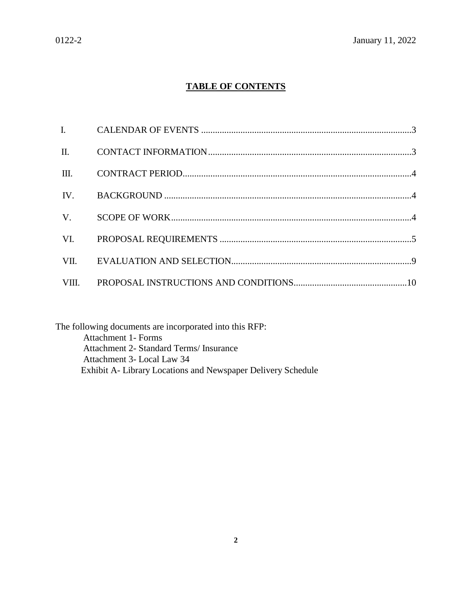# **TABLE OF CONTENTS**

| III.        |  |
|-------------|--|
| IV.         |  |
| $V_{\cdot}$ |  |
| VI.         |  |
|             |  |
|             |  |

The following documents are incorporated into this RFP: Attachment 1- Forms Attachment 2- Standard Terms/ Insurance Attachment 3- Local Law 34 Exhibit A- Library Locations and Newspaper Delivery Schedule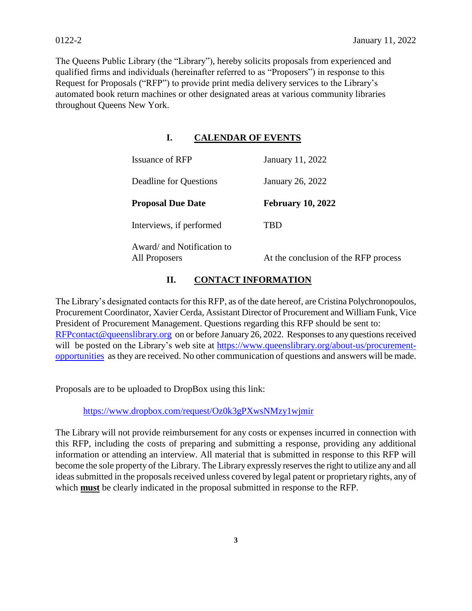The Queens Public Library (the "Library"), hereby solicits proposals from experienced and qualified firms and individuals (hereinafter referred to as "Proposers") in response to this Request for Proposals ("RFP") to provide print media delivery services to the Library's automated book return machines or other designated areas at various community libraries throughout Queens New York.

# **I. CALENDAR OF EVENTS**

| <b>Issuance of RFP</b>                      | January 11, 2022                     |
|---------------------------------------------|--------------------------------------|
| Deadline for Questions                      | January 26, 2022                     |
| <b>Proposal Due Date</b>                    | <b>February 10, 2022</b>             |
| Interviews, if performed                    | TRD                                  |
| Award/ and Notification to<br>All Proposers | At the conclusion of the RFP process |

# **II. CONTACT INFORMATION**

The Library's designated contacts for this RFP, as of the date hereof, are Cristina Polychronopoulos, Procurement Coordinator, Xavier Cerda, Assistant Director of Procurement and William Funk, Vice President of Procurement Management. Questions regarding this RFP should be sent to: [RFPcontact@queenslibrary.org](mailto:RFPcontact@queenslibrary.org) on or before January 26, 2022. Responsesto any questions received will be posted on the Library's web site at [https://www.queenslibrary.org/about-us/procurement](https://www.queenslibrary.org/about-us/procurement-opportunities)[opportunities](https://www.queenslibrary.org/about-us/procurement-opportunities) as they are received. No other communication of questions and answers will be made.

Proposals are to be uploaded to DropBox using this link:

<https://www.dropbox.com/request/Oz0k3gPXwsNMzy1wjmir>

The Library will not provide reimbursement for any costs or expenses incurred in connection with this RFP, including the costs of preparing and submitting a response, providing any additional information or attending an interview. All material that is submitted in response to this RFP will become the sole property of the Library. The Library expressly reserves the right to utilize any and all ideas submitted in the proposals received unless covered by legal patent or proprietary rights, any of which **must** be clearly indicated in the proposal submitted in response to the RFP.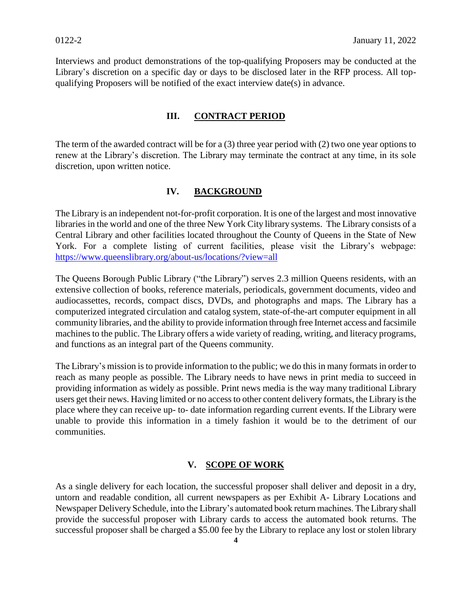Interviews and product demonstrations of the top-qualifying Proposers may be conducted at the Library's discretion on a specific day or days to be disclosed later in the RFP process. All topqualifying Proposers will be notified of the exact interview date(s) in advance.

#### **III. CONTRACT PERIOD**

The term of the awarded contract will be for a (3) three year period with (2) two one year options to renew at the Library's discretion. The Library may terminate the contract at any time, in its sole discretion, upon written notice.

#### **IV. BACKGROUND**

The Library is an independent not-for-profit corporation. It is one of the largest and most innovative libraries in the world and one of the three New York City library systems. The Library consists of a Central Library and other facilities located throughout the County of Queens in the State of New York. For a complete listing of current facilities, please visit the Library's webpage: <https://www.queenslibrary.org/about-us/locations/?view=all>

The Queens Borough Public Library ("the Library") serves 2.3 million Queens residents, with an extensive collection of books, reference materials, periodicals, government documents, video and audiocassettes, records, compact discs, DVDs, and photographs and maps. The Library has a computerized integrated circulation and catalog system, state-of-the-art computer equipment in all community libraries, and the ability to provide information through free Internet access and facsimile machines to the public. The Library offers a wide variety of reading, writing, and literacy programs, and functions as an integral part of the Queens community.

The Library's mission is to provide information to the public; we do this in many formats in order to reach as many people as possible. The Library needs to have news in print media to succeed in providing information as widely as possible. Print news media is the way many traditional Library users get their news. Having limited or no access to other content delivery formats, the Library is the place where they can receive up- to- date information regarding current events. If the Library were unable to provide this information in a timely fashion it would be to the detriment of our communities.

#### **V. SCOPE OF WORK**

As a single delivery for each location, the successful proposer shall deliver and deposit in a dry, untorn and readable condition, all current newspapers as per Exhibit A- Library Locations and Newspaper Delivery Schedule, into the Library's automated book return machines. The Library shall provide the successful proposer with Library cards to access the automated book returns. The successful proposer shall be charged a \$5.00 fee by the Library to replace any lost or stolen library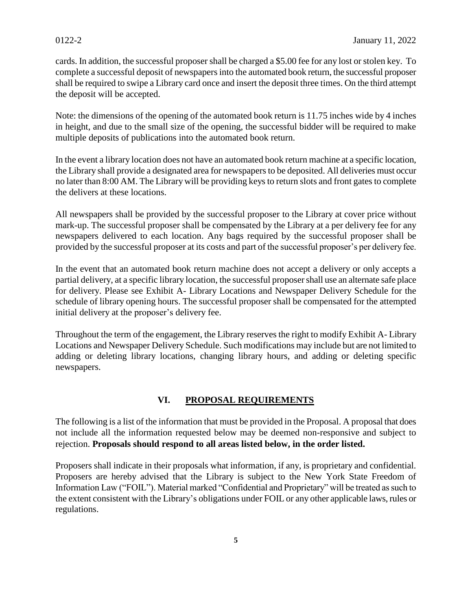cards. In addition, the successful proposer shall be charged a \$5.00 fee for any lost or stolen key. To complete a successful deposit of newspapers into the automated book return, the successful proposer shall be required to swipe a Library card once and insert the deposit three times. On the third attempt the deposit will be accepted.

Note: the dimensions of the opening of the automated book return is 11.75 inches wide by 4 inches in height, and due to the small size of the opening, the successful bidder will be required to make multiple deposits of publications into the automated book return.

In the event a library location does not have an automated book return machine at a specific location, the Library shall provide a designated area for newspapers to be deposited. All deliveries must occur no later than 8:00 AM. The Library will be providing keys to return slots and front gates to complete the delivers at these locations.

All newspapers shall be provided by the successful proposer to the Library at cover price without mark-up. The successful proposer shall be compensated by the Library at a per delivery fee for any newspapers delivered to each location. Any bags required by the successful proposer shall be provided by the successful proposer at its costs and part of the successful proposer's per delivery fee.

In the event that an automated book return machine does not accept a delivery or only accepts a partial delivery, at a specific library location, the successful proposer shall use an alternate safe place for delivery. Please see Exhibit A- Library Locations and Newspaper Delivery Schedule for the schedule of library opening hours. The successful proposer shall be compensated for the attempted initial delivery at the proposer's delivery fee.

Throughout the term of the engagement, the Library reserves the right to modify Exhibit A- Library Locations and Newspaper Delivery Schedule. Such modifications may include but are not limited to adding or deleting library locations, changing library hours, and adding or deleting specific newspapers.

# **VI. PROPOSAL REQUIREMENTS**

The following is a list of the information that must be provided in the Proposal. A proposal that does not include all the information requested below may be deemed non-responsive and subject to rejection. **Proposals should respond to all areas listed below, in the order listed.**

Proposers shall indicate in their proposals what information, if any, is proprietary and confidential. Proposers are hereby advised that the Library is subject to the New York State Freedom of Information Law ("FOIL"). Material marked "Confidential and Proprietary" will be treated as such to the extent consistent with the Library's obligations under FOIL or any other applicable laws, rules or regulations.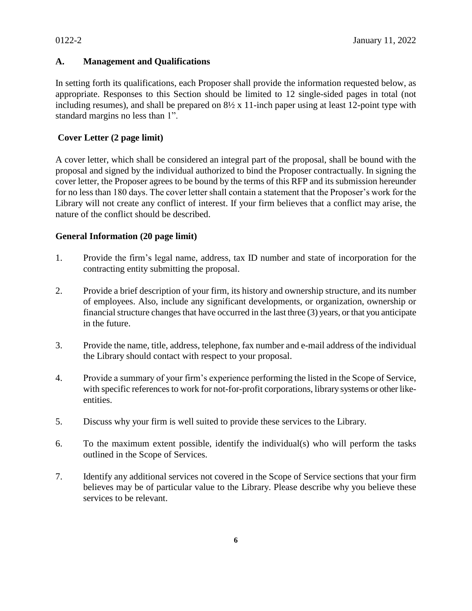# **A. Management and Qualifications**

In setting forth its qualifications, each Proposer shall provide the information requested below, as appropriate. Responses to this Section should be limited to 12 single-sided pages in total (not including resumes), and shall be prepared on 8½ x 11-inch paper using at least 12-point type with standard margins no less than 1".

# **Cover Letter (2 page limit)**

A cover letter, which shall be considered an integral part of the proposal, shall be bound with the proposal and signed by the individual authorized to bind the Proposer contractually. In signing the cover letter, the Proposer agrees to be bound by the terms of this RFP and its submission hereunder for no less than 180 days. The cover letter shall contain a statement that the Proposer's work for the Library will not create any conflict of interest. If your firm believes that a conflict may arise, the nature of the conflict should be described.

# **General Information (20 page limit)**

- 1. Provide the firm's legal name, address, tax ID number and state of incorporation for the contracting entity submitting the proposal.
- 2. Provide a brief description of your firm, its history and ownership structure, and its number of employees. Also, include any significant developments, or organization, ownership or financial structure changes that have occurred in the last three (3) years, or that you anticipate in the future.
- 3. Provide the name, title, address, telephone, fax number and e-mail address of the individual the Library should contact with respect to your proposal.
- 4. Provide a summary of your firm's experience performing the listed in the Scope of Service, with specific references to work for not-for-profit corporations, library systems or other likeentities.
- 5. Discuss why your firm is well suited to provide these services to the Library.
- 6. To the maximum extent possible, identify the individual(s) who will perform the tasks outlined in the Scope of Services.
- 7. Identify any additional services not covered in the Scope of Service sections that your firm believes may be of particular value to the Library. Please describe why you believe these services to be relevant.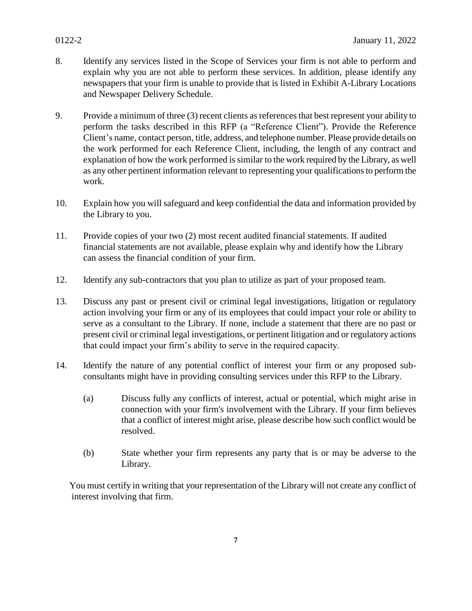- 8. Identify any services listed in the Scope of Services your firm is not able to perform and explain why you are not able to perform these services. In addition, please identify any newspapers that your firm is unable to provide that is listed in Exhibit A-Library Locations and Newspaper Delivery Schedule.
- 9. Provide a minimum of three (3) recent clients as referencesthat best represent your ability to perform the tasks described in this RFP (a "Reference Client"). Provide the Reference Client's name, contact person, title, address, and telephone number. Please provide details on the work performed for each Reference Client, including, the length of any contract and explanation of how the work performed is similar to the work required by the Library, as well as any other pertinent information relevant to representing your qualifications to perform the work.
- 10. Explain how you will safeguard and keep confidential the data and information provided by the Library to you.
- 11. Provide copies of your two (2) most recent audited financial statements. If audited financial statements are not available, please explain why and identify how the Library can assess the financial condition of your firm.
- 12. Identify any sub-contractors that you plan to utilize as part of your proposed team.
- 13. Discuss any past or present civil or criminal legal investigations, litigation or regulatory action involving your firm or any of its employees that could impact your role or ability to serve as a consultant to the Library. If none, include a statement that there are no past or present civil or criminal legal investigations, or pertinent litigation and or regulatory actions that could impact your firm's ability to serve in the required capacity.
- 14. Identify the nature of any potential conflict of interest your firm or any proposed subconsultants might have in providing consulting services under this RFP to the Library.
	- (a) Discuss fully any conflicts of interest, actual or potential, which might arise in connection with your firm's involvement with the Library. If your firm believes that a conflict of interest might arise, please describe how such conflict would be resolved.
	- (b) State whether your firm represents any party that is or may be adverse to the Library.

You must certify in writing that your representation of the Library will not create any conflict of interest involving that firm.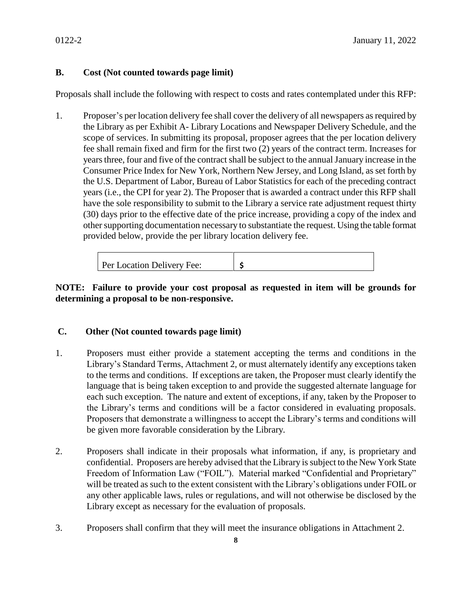# **B. Cost (Not counted towards page limit)**

Proposals shall include the following with respect to costs and rates contemplated under this RFP:

1. Proposer's per location delivery fee shall cover the delivery of all newspapers as required by the Library as per Exhibit A- Library Locations and Newspaper Delivery Schedule, and the scope of services. In submitting its proposal, proposer agrees that the per location delivery fee shall remain fixed and firm for the first two (2) years of the contract term. Increases for years three, four and five of the contract shall be subject to the annual January increase in the Consumer Price Index for New York, Northern New Jersey, and Long Island, as set forth by the U.S. Department of Labor, Bureau of Labor Statistics for each of the preceding contract years (i.e., the CPI for year 2). The Proposer that is awarded a contract under this RFP shall have the sole responsibility to submit to the Library a service rate adjustment request thirty (30) days prior to the effective date of the price increase, providing a copy of the index and other supporting documentation necessary to substantiate the request. Using the table format provided below, provide the per library location delivery fee.

Per Location Delivery Fee: **\$**

# **NOTE: Failure to provide your cost proposal as requested in item will be grounds for determining a proposal to be non-responsive.**

#### **C. Other (Not counted towards page limit)**

- 1. Proposers must either provide a statement accepting the terms and conditions in the Library's Standard Terms, Attachment 2, or must alternately identify any exceptions taken to the terms and conditions. If exceptions are taken, the Proposer must clearly identify the language that is being taken exception to and provide the suggested alternate language for each such exception. The nature and extent of exceptions, if any, taken by the Proposer to the Library's terms and conditions will be a factor considered in evaluating proposals. Proposers that demonstrate a willingness to accept the Library's terms and conditions will be given more favorable consideration by the Library.
- 2. Proposers shall indicate in their proposals what information, if any, is proprietary and confidential. Proposers are hereby advised that the Library is subject to the New York State Freedom of Information Law ("FOIL"). Material marked "Confidential and Proprietary" will be treated as such to the extent consistent with the Library's obligations under FOIL or any other applicable laws, rules or regulations, and will not otherwise be disclosed by the Library except as necessary for the evaluation of proposals.
- 3. Proposers shall confirm that they will meet the insurance obligations in Attachment 2.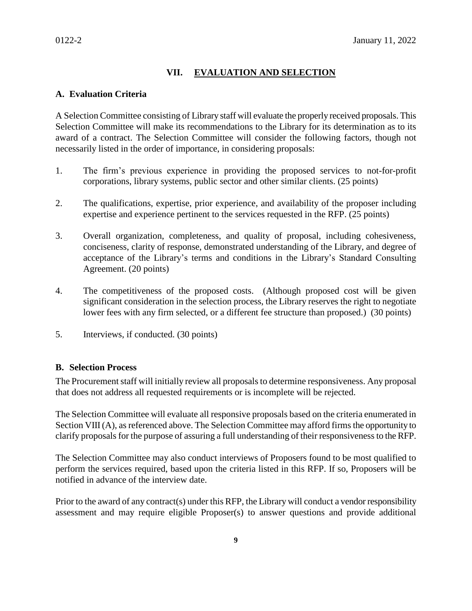# **VII. EVALUATION AND SELECTION**

#### **A. Evaluation Criteria**

A Selection Committee consisting of Library staff will evaluate the properly received proposals. This Selection Committee will make its recommendations to the Library for its determination as to its award of a contract. The Selection Committee will consider the following factors, though not necessarily listed in the order of importance, in considering proposals:

- 1. The firm's previous experience in providing the proposed services to not-for-profit corporations, library systems, public sector and other similar clients. (25 points)
- 2. The qualifications, expertise, prior experience, and availability of the proposer including expertise and experience pertinent to the services requested in the RFP. (25 points)
- 3. Overall organization, completeness, and quality of proposal, including cohesiveness, conciseness, clarity of response, demonstrated understanding of the Library, and degree of acceptance of the Library's terms and conditions in the Library's Standard Consulting Agreement. (20 points)
- 4. The competitiveness of the proposed costs. (Although proposed cost will be given significant consideration in the selection process, the Library reserves the right to negotiate lower fees with any firm selected, or a different fee structure than proposed.) (30 points)
- 5. Interviews, if conducted. (30 points)

#### **B. Selection Process**

The Procurement staff will initially review all proposals to determine responsiveness. Any proposal that does not address all requested requirements or is incomplete will be rejected.

The Selection Committee will evaluate all responsive proposals based on the criteria enumerated in Section VIII (A), as referenced above. The Selection Committee may afford firms the opportunity to clarify proposals for the purpose of assuring a full understanding of their responsiveness to the RFP.

The Selection Committee may also conduct interviews of Proposers found to be most qualified to perform the services required, based upon the criteria listed in this RFP. If so, Proposers will be notified in advance of the interview date.

Prior to the award of any contract(s) under this RFP, the Library will conduct a vendor responsibility assessment and may require eligible Proposer(s) to answer questions and provide additional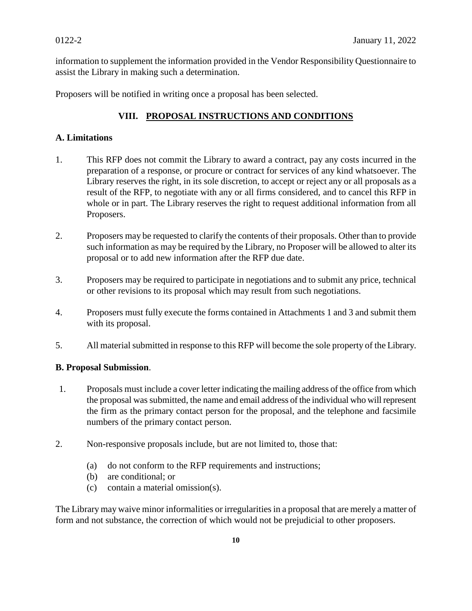information to supplement the information provided in the Vendor Responsibility Questionnaire to assist the Library in making such a determination.

Proposers will be notified in writing once a proposal has been selected.

# **VIII. PROPOSAL INSTRUCTIONS AND CONDITIONS**

# **A. Limitations**

- 1. This RFP does not commit the Library to award a contract, pay any costs incurred in the preparation of a response, or procure or contract for services of any kind whatsoever. The Library reserves the right, in its sole discretion, to accept or reject any or all proposals as a result of the RFP, to negotiate with any or all firms considered, and to cancel this RFP in whole or in part. The Library reserves the right to request additional information from all Proposers.
- 2. Proposers may be requested to clarify the contents of their proposals. Other than to provide such information as may be required by the Library, no Proposer will be allowed to alter its proposal or to add new information after the RFP due date.
- 3. Proposers may be required to participate in negotiations and to submit any price, technical or other revisions to its proposal which may result from such negotiations.
- 4. Proposers must fully execute the forms contained in Attachments 1 and 3 and submit them with its proposal.
- 5. All material submitted in response to this RFP will become the sole property of the Library.

#### **B. Proposal Submission**.

- 1. Proposals must include a cover letter indicating the mailing address of the office from which the proposal was submitted, the name and email address of the individual who will represent the firm as the primary contact person for the proposal, and the telephone and facsimile numbers of the primary contact person.
- 2. Non-responsive proposals include, but are not limited to, those that:
	- (a) do not conform to the RFP requirements and instructions;
	- (b) are conditional; or
	- (c) contain a material omission(s).

The Library may waive minor informalities or irregularities in a proposal that are merely a matter of form and not substance, the correction of which would not be prejudicial to other proposers.